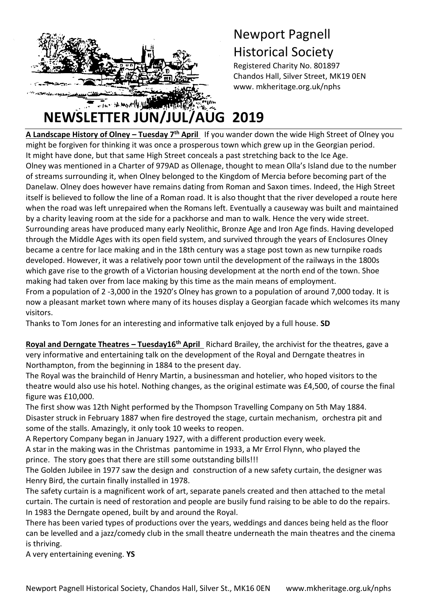

### Newport Pagnell Historical Society

Registered Charity No. 801897 Chandos Hall, Silver Street, MK19 0EN www. mkheritage.org.uk/nphs

# **NEWSLETTER JUN/JUL/AUG 2019**

**A Landscape History of Olney – Tuesday 7th April** If you wander down the wide High Street of Olney you tmight be forgiven for thinking it was once a prosperous town which grew up in the Georgian period. It might have done, but that same High Street conceals a past stretching back to the Ice Age. Olney was mentioned in a Charter of 979AD as Ollenage, thought to mean Olla's Island due to the number of streams surrounding it, when Olney belonged to the Kingdom of Mercia before becoming part of the Danelaw. Olney does however have remains dating from Roman and Saxon times. Indeed, the High Street itself is believed to follow the line of a Roman road. It is also thought that the river developed a route here when the road was left unrepaired when the Romans left. Eventually a causeway was built and maintained by a charity leaving room at the side for a packhorse and man to walk. Hence the very wide street. Surrounding areas have produced many early Neolithic, Bronze Age and Iron Age finds. Having developed through the Middle Ages with its open field system, and survived through the years of Enclosures Olney became a centre for lace making and in the 18th century was a stage post town as new turnpike roads developed. However, it was a relatively poor town until the development of the railways in the 1800s which gave rise to the growth of a Victorian housing development at the north end of the town. Shoe making had taken over from lace making by this time as the main means of employment.

From a population of 2 -3,000 in the 1920's Olney has grown to a population of around 7,000 today. It is now a pleasant market town where many of its houses display a Georgian facade which welcomes its many visitors.

Thanks to Tom Jones for an interesting and informative talk enjoyed by a full house. **SD**

**Royal and Derngate Theatres – Tuesday16th April** Richard Brailey, the archivist for the theatres, gave a very informative and entertaining talk on the development of the Royal and Derngate theatres in Northampton, from the beginning in 1884 to the present day.

The Royal was the brainchild of Henry Martin, a businessman and hotelier, who hoped visitors to the theatre would also use his hotel. Nothing changes, as the original estimate was £4,500, of course the final figure was £10,000.

The first show was 12th Night performed by the Thompson Travelling Company on 5th May 1884. Disaster struck in February 1887 when fire destroyed the stage, curtain mechanism, orchestra pit and some of the stalls. Amazingly, it only took 10 weeks to reopen.

A Repertory Company began in January 1927, with a different production every week.

A star in the making was in the Christmas pantomime in 1933, a Mr Errol Flynn, who played the prince. The story goes that there are still some outstanding bills!!!

The Golden Jubilee in 1977 saw the design and construction of a new safety curtain, the designer was Henry Bird, the curtain finally installed in 1978.

The safety curtain is a magnificent work of art, separate panels created and then attached to the metal curtain. The curtain is need of restoration and people are busily fund raising to be able to do the repairs. In 1983 the Derngate opened, built by and around the Royal.

There has been varied types of productions over the years, weddings and dances being held as the floor can be levelled and a jazz/comedy club in the small theatre underneath the main theatres and the cinema is thriving.

A very entertaining evening. **YS**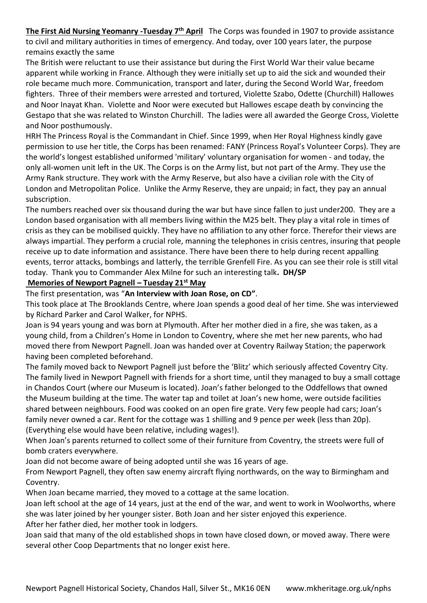**The First Aid Nursing Yeomanry -Tuesday 7th April** The Corps was founded in 1907 to provide assistance to civil and military authorities in times of emergency. And today, over 100 years later, the purpose remains exactly the same

The British were reluctant to use their assistance but during the First World War their value became apparent while working in France. Although they were initially set up to aid the sick and wounded their role became much more. Communication, transport and later, during the Second World War, freedom fighters. Three of their members were arrested and tortured, Violette Szabo, Odette (Churchill) Hallowes and Noor Inayat Khan. Violette and Noor were executed but Hallowes escape death by convincing the Gestapo that she was related to Winston Churchill. The ladies were all awarded the George Cross, Violette and Noor posthumously.

HRH The Princess Royal is the Commandant in Chief. Since 1999, when Her Royal Highness kindly gave permission to use her title, the Corps has been renamed: FANY (Princess Royal's Volunteer Corps). They are the world's longest established uniformed 'military' voluntary organisation for women - and today, the only all-women unit left in the UK. The Corps is on the Army list, but not part of the Army. They use the Army Rank structure. They work with the Army Reserve, but also have a civilian role with the City of London and Metropolitan Police. Unlike the Army Reserve, they are unpaid; in fact, they pay an annual subscription.

The numbers reached over six thousand during the war but have since fallen to just under200. They are a London based organisation with all members living within the M25 belt. They play a vital role in times of crisis as they can be mobilised quickly. They have no affiliation to any other force. Therefor their views are always impartial. They perform a crucial role, manning the telephones in crisis centres, insuring that people receive up to date information and assistance. There have been there to help during recent appalling events, terror attacks, bombings and latterly, the terrible Grenfell Fire. As you can see their role is still vital today. Thank you to Commander Alex Milne for such an interesting talk**. DH/SP**

#### **Memories of Newport Pagnell – Tuesday 21st May**

The first presentation, was "**An Interview with Joan Rose, on CD"**.

This took place at The Brooklands Centre, where Joan spends a good deal of her time. She was interviewed by Richard Parker and Carol Walker, for NPHS.

Joan is 94 years young and was born at Plymouth. After her mother died in a fire, she was taken, as a young child, from a Children's Home in London to Coventry, where she met her new parents, who had moved there from Newport Pagnell. Joan was handed over at Coventry Railway Station; the paperwork having been completed beforehand.

The family moved back to Newport Pagnell just before the 'Blitz' which seriously affected Coventry City. The family lived in Newport Pagnell with friends for a short time, until they managed to buy a small cottage in Chandos Court (where our Museum is located). Joan's father belonged to the Oddfellows that owned the Museum building at the time. The water tap and toilet at Joan's new home, were outside facilities shared between neighbours. Food was cooked on an open fire grate. Very few people had cars; Joan's family never owned a car. Rent for the cottage was 1 shilling and 9 pence per week (less than 20p). (Everything else would have been relative, including wages!).

When Joan's parents returned to collect some of their furniture from Coventry, the streets were full of bomb craters everywhere.

Joan did not become aware of being adopted until she was 16 years of age.

From Newport Pagnell, they often saw enemy aircraft flying northwards, on the way to Birmingham and Coventry.

When Joan became married, they moved to a cottage at the same location.

Joan left school at the age of 14 years, just at the end of the war, and went to work in Woolworths, where she was later joined by her younger sister. Both Joan and her sister enjoyed this experience.

After her father died, her mother took in lodgers.

Joan said that many of the old established shops in town have closed down, or moved away. There were several other Coop Departments that no longer exist here.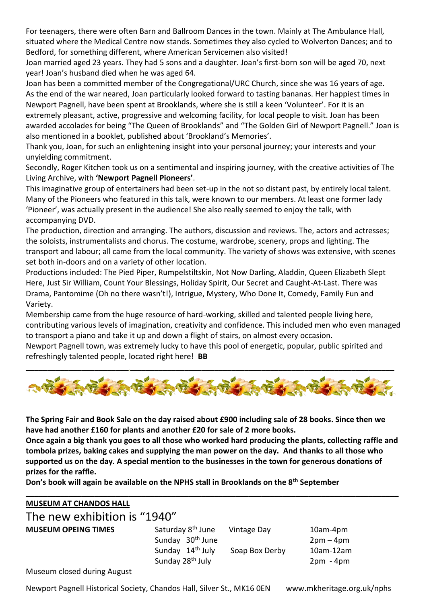For teenagers, there were often Barn and Ballroom Dances in the town. Mainly at The Ambulance Hall, situated where the Medical Centre now stands. Sometimes they also cycled to Wolverton Dances; and to Bedford, for something different, where American Servicemen also visited!

Joan married aged 23 years. They had 5 sons and a daughter. Joan's first-born son will be aged 70, next year! Joan's husband died when he was aged 64.

Joan has been a committed member of the Congregational/URC Church, since she was 16 years of age. As the end of the war neared, Joan particularly looked forward to tasting bananas. Her happiest times in Newport Pagnell, have been spent at Brooklands, where she is still a keen 'Volunteer'. For it is an extremely pleasant, active, progressive and welcoming facility, for local people to visit. Joan has been awarded accolades for being "The Queen of Brooklands" and "The Golden Girl of Newport Pagnell." Joan is also mentioned in a booklet, published about 'Brookland's Memories'.

Thank you, Joan, for such an enlightening insight into your personal journey; your interests and your unyielding commitment.

Secondly, Roger Kitchen took us on a sentimental and inspiring journey, with the creative activities of The Living Archive, with **'Newport Pagnell Pioneers'**.

This imaginative group of entertainers had been set-up in the not so distant past, by entirely local talent. Many of the Pioneers who featured in this talk, were known to our members. At least one former lady 'Pioneer', was actually present in the audience! She also really seemed to enjoy the talk, with accompanying DVD.

The production, direction and arranging. The authors, discussion and reviews. The, actors and actresses; the soloists, instrumentalists and chorus. The costume, wardrobe, scenery, props and lighting. The transport and labour; all came from the local community. The variety of shows was extensive, with scenes set both in-doors and on a variety of other location.

Productions included: The Pied Piper, Rumpelstiltskin, Not Now Darling, Aladdin, Queen Elizabeth Slept Here, Just Sir William, Count Your Blessings, Holiday Spirit, Our Secret and Caught-At-Last. There was Drama, Pantomime (Oh no there wasn't!), Intrigue, Mystery, Who Done It, Comedy, Family Fun and Variety.

Membership came from the huge resource of hard-working, skilled and talented people living here, contributing various levels of imagination, creativity and confidence. This included men who even managed to transport a piano and take it up and down a flight of stairs, on almost every occasion.

Newport Pagnell town, was extremely lucky to have this pool of energetic, popular, public spirited and refreshingly talented people, located right here! **BB**



**The Spring Fair and Book Sale on the day raised about £900 including sale of 28 books. Since then we have had another £160 for plants and another £20 for sale of 2 more books.**

**Once again a big thank you goes to all those who worked hard producing the plants, collecting raffle and tombola prizes, baking cakes and supplying the man power on the day. And thanks to all those who supported us on the day. A special mention to the businesses in the town for generous donations of prizes for the raffle.**

**Don's book will again be available on the NPHS stall in Brooklands on the 8th September**

| <b>MUSEUM AT CHANDOS HALL</b> |                                                               |                |                            |  |
|-------------------------------|---------------------------------------------------------------|----------------|----------------------------|--|
| The new exhibition is "1940"  |                                                               |                |                            |  |
| <b>MUSEUM OPEING TIMES</b>    | Saturday 8 <sup>th</sup> June<br>Sunday 30 <sup>th</sup> June | Vintage Day    | 10am-4pm<br>$2pm-4pm$      |  |
|                               | Sunday 14 <sup>th</sup> July<br>Sunday 28 <sup>th</sup> July  | Soap Box Derby | $10am-12am$<br>$2pm - 4pm$ |  |

Museum closed during August

Newport Pagnell Historical Society, Chandos Hall, Silver St., MK16 0EN www.mkheritage.org.uk/nphs